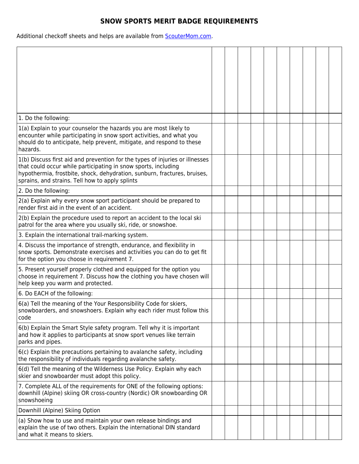## **SNOW SPORTS MERIT BADGE REQUIREMENTS**

Additional checkoff sheets and helps are available from **ScouterMom.com**.

| 1. Do the following:                                                                                                                                                                                                                                                          |  |  |  |  |  |
|-------------------------------------------------------------------------------------------------------------------------------------------------------------------------------------------------------------------------------------------------------------------------------|--|--|--|--|--|
| 1(a) Explain to your counselor the hazards you are most likely to<br>encounter while participating in snow sport activities, and what you<br>should do to anticipate, help prevent, mitigate, and respond to these<br>hazards.                                                |  |  |  |  |  |
| 1(b) Discuss first aid and prevention for the types of injuries or illnesses<br>that could occur while participating in snow sports, including<br>hypothermia, frostbite, shock, dehydration, sunburn, fractures, bruises,<br>sprains, and strains. Tell how to apply splints |  |  |  |  |  |
| 2. Do the following:                                                                                                                                                                                                                                                          |  |  |  |  |  |
| 2(a) Explain why every snow sport participant should be prepared to<br>render first aid in the event of an accident.                                                                                                                                                          |  |  |  |  |  |
| 2(b) Explain the procedure used to report an accident to the local ski<br>patrol for the area where you usually ski, ride, or snowshoe.                                                                                                                                       |  |  |  |  |  |
| 3. Explain the international trail-marking system.                                                                                                                                                                                                                            |  |  |  |  |  |
| 4. Discuss the importance of strength, endurance, and flexibility in<br>snow sports. Demonstrate exercises and activities you can do to get fit<br>for the option you choose in requirement 7.                                                                                |  |  |  |  |  |
| 5. Present yourself properly clothed and equipped for the option you<br>choose in requirement 7. Discuss how the clothing you have chosen will<br>help keep you warm and protected.                                                                                           |  |  |  |  |  |
| 6. Do EACH of the following:                                                                                                                                                                                                                                                  |  |  |  |  |  |
| 6(a) Tell the meaning of the Your Responsibility Code for skiers,<br>snowboarders, and snowshoers. Explain why each rider must follow this<br>code                                                                                                                            |  |  |  |  |  |
| 6(b) Explain the Smart Style safety program. Tell why it is important<br>and how it applies to participants at snow sport venues like terrain<br>parks and pipes.                                                                                                             |  |  |  |  |  |
| 6(c) Explain the precautions pertaining to avalanche safety, including<br>the responsibility of individuals regarding avalanche safety.                                                                                                                                       |  |  |  |  |  |
| 6(d) Tell the meaning of the Wilderness Use Policy. Explain why each<br>skier and snowboarder must adopt this policy.                                                                                                                                                         |  |  |  |  |  |
| 7. Complete ALL of the requirements for ONE of the following options:<br>downhill (Alpine) skiing OR cross-country (Nordic) OR snowboarding OR<br>snowshoeing                                                                                                                 |  |  |  |  |  |
| Downhill (Alpine) Skiing Option                                                                                                                                                                                                                                               |  |  |  |  |  |
| (a) Show how to use and maintain your own release bindings and<br>explain the use of two others. Explain the international DIN standard<br>and what it means to skiers.                                                                                                       |  |  |  |  |  |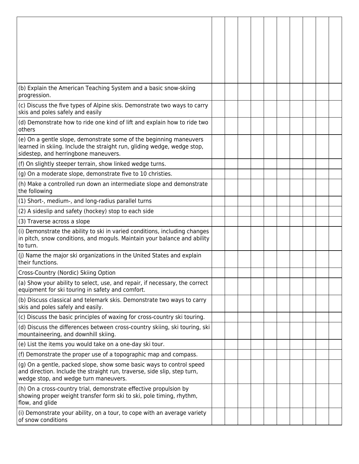| (b) Explain the American Teaching System and a basic snow-skiing<br>progression.                                                                                                          |  |  |  |  |  |
|-------------------------------------------------------------------------------------------------------------------------------------------------------------------------------------------|--|--|--|--|--|
| (c) Discuss the five types of Alpine skis. Demonstrate two ways to carry<br>skis and poles safely and easily                                                                              |  |  |  |  |  |
| (d) Demonstrate how to ride one kind of lift and explain how to ride two<br>others                                                                                                        |  |  |  |  |  |
| (e) On a gentle slope, demonstrate some of the beginning maneuvers<br>learned in skiing. Include the straight run, gliding wedge, wedge stop,<br>sidestep, and herringbone maneuvers.     |  |  |  |  |  |
| (f) On slightly steeper terrain, show linked wedge turns.                                                                                                                                 |  |  |  |  |  |
| (g) On a moderate slope, demonstrate five to 10 christies.                                                                                                                                |  |  |  |  |  |
| (h) Make a controlled run down an intermediate slope and demonstrate<br>the following                                                                                                     |  |  |  |  |  |
| (1) Short-, medium-, and long-radius parallel turns                                                                                                                                       |  |  |  |  |  |
| (2) A sideslip and safety (hockey) stop to each side                                                                                                                                      |  |  |  |  |  |
| (3) Traverse across a slope                                                                                                                                                               |  |  |  |  |  |
| (i) Demonstrate the ability to ski in varied conditions, including changes<br>in pitch, snow conditions, and moguls. Maintain your balance and ability<br>to turn.                        |  |  |  |  |  |
| (j) Name the major ski organizations in the United States and explain<br>their functions.                                                                                                 |  |  |  |  |  |
| Cross-Country (Nordic) Skiing Option                                                                                                                                                      |  |  |  |  |  |
| (a) Show your ability to select, use, and repair, if necessary, the correct<br>equipment for ski touring in safety and comfort.                                                           |  |  |  |  |  |
| (b) Discuss classical and telemark skis. Demonstrate two ways to carry<br>skis and poles safely and easily.                                                                               |  |  |  |  |  |
| (c) Discuss the basic principles of waxing for cross-country ski touring.                                                                                                                 |  |  |  |  |  |
| (d) Discuss the differences between cross-country skiing, ski touring, ski<br>mountaineering, and downhill skiing.                                                                        |  |  |  |  |  |
| (e) List the items you would take on a one-day ski tour.                                                                                                                                  |  |  |  |  |  |
| (f) Demonstrate the proper use of a topographic map and compass.                                                                                                                          |  |  |  |  |  |
| (g) On a gentle, packed slope, show some basic ways to control speed<br>and direction. Include the straight run, traverse, side slip, step turn,<br>wedge stop, and wedge turn maneuvers. |  |  |  |  |  |
| (h) On a cross-country trial, demonstrate effective propulsion by<br>showing proper weight transfer form ski to ski, pole timing, rhythm,<br>flow, and glide                              |  |  |  |  |  |
| (i) Demonstrate your ability, on a tour, to cope with an average variety<br>of snow conditions                                                                                            |  |  |  |  |  |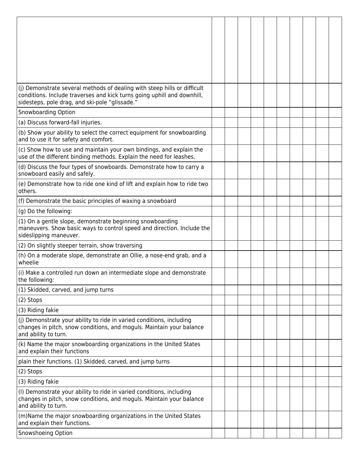| (j) Demonstrate several methods of dealing with steep hills or difficult<br>conditions. Include traverses and kick turns going uphill and downhill,<br>sidesteps, pole drag, and ski-pole "glissade." |  |  |  |  |  |
|-------------------------------------------------------------------------------------------------------------------------------------------------------------------------------------------------------|--|--|--|--|--|
| Snowboarding Option                                                                                                                                                                                   |  |  |  |  |  |
| (a) Discuss forward-fall injuries.                                                                                                                                                                    |  |  |  |  |  |
| (b) Show your ability to select the correct equipment for snowboarding<br>and to use it for safety and comfort.                                                                                       |  |  |  |  |  |
| (c) Show how to use and maintain your own bindings, and explain the<br>use of the different binding methods. Explain the need for leashes.                                                            |  |  |  |  |  |
| (d) Discuss the four types of snowboards. Demonstrate how to carry a<br>snowboard easily and safely.                                                                                                  |  |  |  |  |  |
| (e) Demonstrate how to ride one kind of lift and explain how to ride two<br>others.                                                                                                                   |  |  |  |  |  |
| (f) Demonstrate the basic principles of waxing a snowboard                                                                                                                                            |  |  |  |  |  |
| (g) Do the following:                                                                                                                                                                                 |  |  |  |  |  |
| (1) On a gentle slope, demonstrate beginning snowboarding<br>maneuvers. Show basic ways to control speed and direction. Include the<br>sideslipping maneuver.                                         |  |  |  |  |  |
| (2) On slightly steeper terrain, show traversing                                                                                                                                                      |  |  |  |  |  |
| (h) On a moderate slope, demonstrate an Ollie, a nose-end grab, and a<br>wheelie                                                                                                                      |  |  |  |  |  |
| (i) Make a controlled run down an intermediate slope and demonstrate<br>the following:                                                                                                                |  |  |  |  |  |
| (1) Skidded, carved, and jump turns                                                                                                                                                                   |  |  |  |  |  |
| (2) Stops                                                                                                                                                                                             |  |  |  |  |  |
| (3) Riding fakie                                                                                                                                                                                      |  |  |  |  |  |
| (j) Demonstrate your ability to ride in varied conditions, including<br>changes in pitch, snow conditions, and moguls. Maintain your balance<br>and ability to turn.                                  |  |  |  |  |  |
| (k) Name the major snowboarding organizations in the United States<br>and explain their functions                                                                                                     |  |  |  |  |  |
| plain their functions. (1) Skidded, carved, and jump turns                                                                                                                                            |  |  |  |  |  |
| (2) Stops                                                                                                                                                                                             |  |  |  |  |  |
| (3) Riding fakie                                                                                                                                                                                      |  |  |  |  |  |
| (I) Demonstrate your ability to ride in varied conditions, including<br>changes in pitch, snow conditions, and moguls. Maintain your balance<br>and ability to turn.                                  |  |  |  |  |  |
| (m) Name the major snowboarding organizations in the United States<br>and explain their functions.                                                                                                    |  |  |  |  |  |
| Snowshoeing Option                                                                                                                                                                                    |  |  |  |  |  |